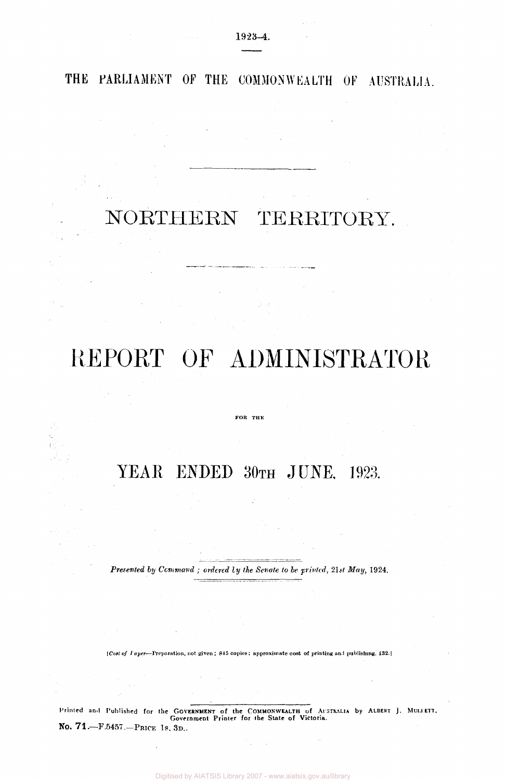### **THE PARLIAMENT OF THE COMMONWEALTH OF AUSTRALIA.**

# NORTHERN TERRITORY.

# REPORT OF ADMINISTRATOR

#### FOR THE

 $\mathcal{J}_\alpha$ k, 控制 나는 그

### YEAR ENDED 30TH JUNE. 1923.

*Presented by Command ; ordered by the Senate to be printed, 21st May,* 1924.

<u> Tantan di Kabupaten Bandar Bandar Bandar Bandar Bandar Bandar Bandar Bandar Bandar Bandar Bandar Bandar Bandar Bandar Bandar Bandar Bandar Bandar Bandar Bandar Bandar Bandar Bandar Bandar Bandar Bandar Bandar Bandar Band</u>

*[Cost of Paper*—Preparation, not given ; 845 copies; approximate cost of printing and publishing. £32.]

Printed and Published for the GOVERNMENT of the COMMONWEALTH OF AUSTRALIA by ALBERT J. MULLETT. Government Printer for the State of Victoria. No. 71.—F.5457.—PRICE 1S. 3D..

Germany (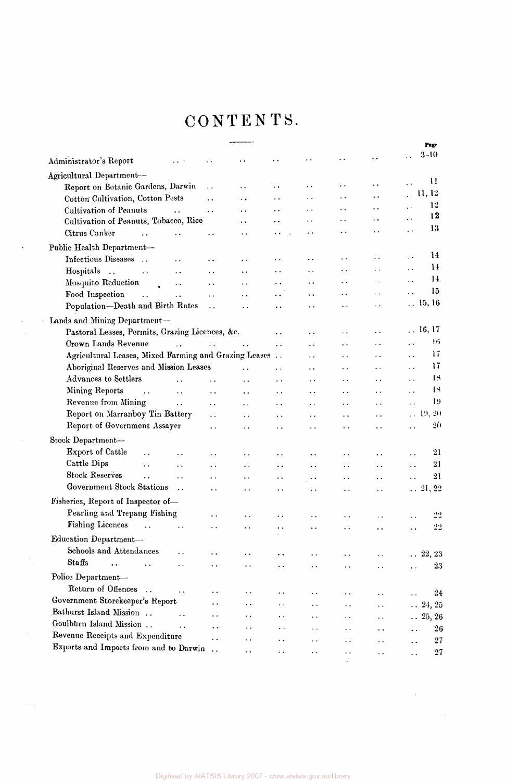# CONTENTS.

|                                                                                                                               |                          |                                                |                      |                        |                        |                        | Page                             |
|-------------------------------------------------------------------------------------------------------------------------------|--------------------------|------------------------------------------------|----------------------|------------------------|------------------------|------------------------|----------------------------------|
| Administrator's Report                                                                                                        |                          |                                                |                      |                        |                        |                        | $3 - 10$                         |
| Agricultural Department-                                                                                                      |                          |                                                |                      |                        |                        |                        |                                  |
| Report on Botanic Gardens, Darwin                                                                                             | $\ddot{\phantom{a}}$     | $\ddot{\phantom{a}}$                           | $\ddot{\phantom{0}}$ | $\ddot{\phantom{0}}$   | $\ddot{\phantom{1}}$   |                        | 11                               |
| Cotton Cultivation, Cotton Pests                                                                                              | $\ddot{\phantom{0}}$     | $\ddot{\phantom{0}}$                           | $\ddot{\phantom{0}}$ | $\ddot{\phantom{a}}$ . | $\ddot{\phantom{0}}$   | $\ddot{\phantom{1}}$   | 11, 12<br>$\ddot{\phantom{a}}$   |
| Cultivation of Peanuts<br>$\ddot{\phantom{a}}$                                                                                | $\ddotsc$                | $\ddot{\phantom{0}}$                           | $\ddot{\phantom{0}}$ | $\ddot{\phantom{0}}$   | $\ddot{\phantom{1}}$   | $\ddot{\phantom{0}}$   | 12<br>$\ddot{\phantom{1}}$<br>12 |
| Cultivation of Peanuts, Tobacco, Rice                                                                                         |                          | $\ddot{\phantom{0}}$                           | $\ddot{\phantom{0}}$ | $\ddot{\phantom{1}}$   | $\ddot{\phantom{1}}$   |                        | $\ddot{\phantom{0}}$<br>13       |
| Citrus Canker<br>$\ddot{\phantom{a}}$<br>$\ddot{\phantom{a}}$                                                                 | $\ddot{\phantom{0}}$     | $\ddot{\phantom{0}}$                           | $\ddot{\phantom{0}}$ | $\ddot{\phantom{0}}$   | $\ddot{\phantom{0}}$   | $\ddot{\phantom{0}}$   | $\ddot{\phantom{a}}$             |
| Public Health Department-                                                                                                     |                          |                                                |                      |                        |                        |                        |                                  |
| Infectious Diseases<br>$\ddot{\phantom{a}}$ .                                                                                 | $\ddotsc$                | $\ddot{\phantom{0}}$                           | $\ddot{\phantom{1}}$ | $\ddot{\phantom{1}}$   | $\ddot{\phantom{0}}$   |                        | 14                               |
| Hospitals<br>$\mathcal{L}_{\mathbf{A}}$ and $\mathcal{L}_{\mathbf{A}}$ and $\mathcal{L}_{\mathbf{A}}$<br>$\ddot{\phantom{0}}$ | $\ddot{\phantom{0}}$     | $\ddot{\phantom{1}}$                           | $\ddot{\phantom{0}}$ | $\sim$                 | $\ddot{\phantom{0}}$   | $\ddot{\phantom{1}}$   | 14<br>$\ddot{\phantom{0}}$       |
| Mosquito Reduction<br>$\ddot{\phantom{0}}$                                                                                    | $\ddot{\phantom{a}}$     | $\ddot{\phantom{0}}$                           | $\ddot{\phantom{1}}$ | $\ddot{\phantom{0}}$   | $\ddot{\phantom{0}}$   | $\ddotsc$              | 14                               |
| Food Inspection<br>$\sim 100$<br>$\ddot{\phantom{a}}$                                                                         | $\ddot{\phantom{a}}$     | $\ddot{\phantom{0}}$                           |                      | $\ddot{\phantom{0}}$   | $\ddot{\phantom{1}}$   | $\ddot{\phantom{a}}$   | 15                               |
| Population-Death and Birth Rates                                                                                              | $\ddot{\phantom{a}}$ .   | $\ddot{\phantom{a}}$                           | $\ddot{\phantom{0}}$ | $\ddot{\phantom{a}}$   | $\bullet$ $\bullet$    | $\ddot{\phantom{1}}$ . | .15,16                           |
| Lands and Mining Department-                                                                                                  |                          |                                                |                      |                        |                        |                        |                                  |
| Pastoral Leases, Permits, Grazing Licences, &c.                                                                               |                          |                                                | $\ddot{\phantom{0}}$ | $\ddot{\phantom{0}}$   |                        | $\ddot{\phantom{1}}$   | . . 16, 17                       |
| Crown Lands Revenue<br>$\ddot{\phantom{a}}$                                                                                   | <b>Contract Contract</b> | $\sim 100$ km s $^{-1}$                        | $\ddot{\phantom{a}}$ | $\ddot{\phantom{0}}$   | $\bullet$ $\bullet$    | $\ddot{\phantom{0}}$   | 16                               |
| Agricultural Leases, Mixed Farming and Grazing Leases                                                                         |                          |                                                |                      | $\ddot{\phantom{0}}$   | $\ddot{\phantom{0}}$   | $\ddot{\phantom{0}}$   | 17<br>$\ddotsc$                  |
| Aboriginal Reserves and Mission Leases                                                                                        |                          |                                                | $\ddot{\phantom{0}}$ | $\ddot{\phantom{0}}$   | $\ddot{\phantom{0}}$   | $\ddot{\phantom{1}}$   | 17<br>$\ddot{\phantom{a}}$       |
| Advances to Settlers                                                                                                          |                          |                                                | $\ddot{\phantom{1}}$ | $\ddot{\phantom{a}}$   | $\ddot{\phantom{0}}$   | $\ddot{\phantom{a}}$ . | 18<br>$\ddot{\phantom{0}}$       |
| Mining Reports<br><b>Contract Contract</b>                                                                                    | $\ddot{\phantom{a}}$ .   | $\ddot{\phantom{0}}$                           | $\ddot{\phantom{0}}$ | $\ddot{\phantom{0}}$   | $\ddot{\phantom{0}}$   | $\ddot{\phantom{0}}$   | 18<br>$\ddot{\phantom{0}}$       |
| Revenue from Mining<br>$\sim$ $\sim$                                                                                          | $\ddot{\phantom{a}}$     | $\mathbf{r}$ .                                 | $\ddot{\phantom{0}}$ | $\ddotsc$              | $\ddot{\phantom{1}}$   | $\ddot{\phantom{0}}$   | 19                               |
| Report on Marranboy Tin Battery                                                                                               | $\ddotsc$                | $\sim$ $\sim$                                  | $\ddot{\phantom{a}}$ | $\ddot{\phantom{0}}$   | $\ddot{\phantom{0}}$   | $\ddot{\phantom{0}}$   | $\ldots$ 19, 20                  |
| Report of Government Assayer                                                                                                  | $\ddot{\phantom{0}}$     | $\ddot{\phantom{a}}$                           | $\ddot{\phantom{1}}$ | $\ddot{\phantom{0}}$   | $\ddotsc$              | $\ddot{\phantom{a}}$   | 20                               |
| Stock Department-                                                                                                             |                          |                                                |                      |                        |                        |                        |                                  |
| Export of Cattle<br>$\ddot{\phantom{a}}$<br>$\ddot{\phantom{a}}$                                                              | $\ddot{\phantom{0}}$     | $\ddot{\phantom{a}}$                           | $\ddot{\phantom{0}}$ | . .                    | . .                    | $\ddot{\phantom{0}}$   | 21<br>$\ddot{\phantom{0}}$       |
| Cattle Dips<br>$\ddot{\phantom{a}}$                                                                                           | $\ddotsc$                | $\ddot{\phantom{a}}$                           | $\ddot{\phantom{0}}$ | $\ddot{\phantom{1}}$   | $\ddot{\phantom{1}}$   | $\ddot{\phantom{0}}$   | 21                               |
| <b>Stock Reserves</b><br>$\ddot{\phantom{0}}$<br>$\ddot{\phantom{0}}$                                                         | $\ddot{\phantom{a}}$     | $\ddot{\phantom{1}}$                           | $\ddot{\phantom{1}}$ | $\sim$ $\sim$          | $\ddotsc$              | $\ddot{\phantom{1}}$   | 21                               |
| Government Stock Stations<br>$\ddot{\phantom{a}}$                                                                             | $\ddot{\phantom{a}}$     | $\ddot{\phantom{a}}$                           | $\ddot{\phantom{a}}$ | $\ddot{\phantom{a}}$   | $\ddot{\phantom{1}}$   | . .                    | 21, 22<br>$\ddot{\phantom{a}}$   |
| Fisheries, Report of Inspector of-                                                                                            |                          |                                                |                      |                        |                        |                        |                                  |
| Pearling and Trepang Fishing                                                                                                  | $\ddot{\phantom{0}}$     |                                                |                      |                        |                        |                        | 22                               |
| <b>Fishing Licences</b><br>$\sim 100$<br>$\sim$ $\sim$ $\sim$ $\sim$                                                          | $\ddot{\phantom{a}}$     | $\ddot{\phantom{1}}$ .<br>$\ddot{\phantom{a}}$ |                      | $\ddot{\phantom{0}}$   |                        |                        | $\ddot{\phantom{a}}$<br>22       |
| Education Department-                                                                                                         |                          |                                                | . .                  | $\ddot{\phantom{0}}$   | $\ddot{\phantom{0}}$   | . .                    | $\ddot{\phantom{0}}$             |
| Schools and Attendances                                                                                                       |                          |                                                |                      |                        |                        |                        |                                  |
| <b>Staffs</b>                                                                                                                 |                          | $\ddot{\phantom{1}}$                           |                      |                        |                        |                        | 22, 23                           |
| $\ddot{\phantom{a}}$<br>$\ddot{\phantom{0}}$<br>. .                                                                           |                          |                                                |                      |                        |                        |                        | 23                               |
| Police Department-                                                                                                            |                          |                                                |                      |                        |                        |                        |                                  |
| Return of Offences<br>$\dddot{\phantom{0}}$<br>$\ddot{\phantom{0}}$                                                           |                          |                                                |                      | . .                    |                        | . .                    | 24                               |
| Government Storekeeper's Report                                                                                               |                          |                                                | $\ddotsc$            | $\ddotsc$              | $\ddot{\phantom{1}}$ . | $\ddot{\phantom{0}}$   | 24, 25                           |
| Bathurst Island Mission<br>$\ddot{\phantom{a}}$                                                                               | . .                      | $\ddot{\phantom{0}}$                           | . .                  | $\ddot{\phantom{1}}$   |                        | . .                    | 25, 26                           |
| Goulburn Island Mission<br>$\ddot{\phantom{a}}$                                                                               |                          |                                                |                      |                        |                        |                        | 26                               |
| Revenue Receipts and Expenditure                                                                                              |                          |                                                |                      |                        |                        | . .                    | 27                               |
| Exports and Imports from and to Darwin                                                                                        | $\ddot{\phantom{a}}$     |                                                |                      | ٠.                     |                        | $\ddot{\phantom{0}}$   | 27                               |
|                                                                                                                               |                          |                                                |                      |                        |                        |                        |                                  |

 $\label{eq:2.1} \frac{1}{\sqrt{2\pi}}\int_{\mathbb{R}^3}\frac{1}{\sqrt{2\pi}}\left(\frac{1}{\sqrt{2\pi}}\right)^2\frac{1}{\sqrt{2\pi}}\int_{\mathbb{R}^3}\frac{1}{\sqrt{2\pi}}\frac{1}{\sqrt{2\pi}}\frac{1}{\sqrt{2\pi}}\frac{1}{\sqrt{2\pi}}\frac{1}{\sqrt{2\pi}}\frac{1}{\sqrt{2\pi}}\frac{1}{\sqrt{2\pi}}\frac{1}{\sqrt{2\pi}}\frac{1}{\sqrt{2\pi}}\frac{1}{\sqrt{2\pi}}\frac{1}{\sqrt{2\pi}}\frac{$ 

 $\label{eq:2.1} \frac{1}{\sqrt{2}}\int_{0}^{\infty}\frac{1}{\sqrt{2\pi}}\left(\frac{1}{\sqrt{2}}\right)^{2}d\mu_{\rm{max}}\left(\frac{1}{\sqrt{2}}\right).$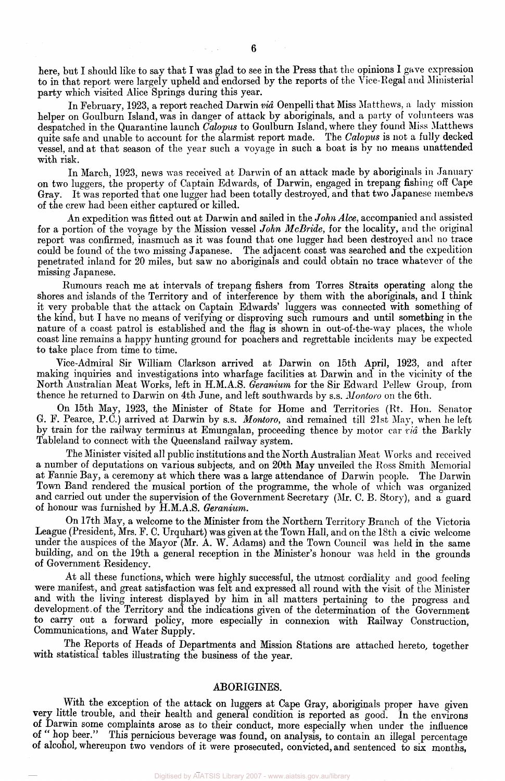here, but I should like to say that I was glad to see in the Press that the opinions I gave expression to in that report were largely upheld and endorsed by the reports of the Vice-Regal and Ministerial party which visited Alice Springs during this year.

In February, 1923, a report reached Darwin *via* Oenpelli that Miss Matthews, a lady mission helper on Goulburn Island, was in danger of attack by aboriginals, and a party of volunteers was despatched in the Quarantine launch *Calopus* to Goulburn Island, where they found Miss Matthews quite safe and unable to account for the alarmist report made. The *Calopus* is not a fully decked vessel, and at that season of the year such a voyage in such a boat is by no means unattended with risk.

In March, 1923, news was received at Darwin of an attack made by aboriginals in January on two luggers, the property of Captain Edwards, of Darwin, engaged in trepang fishing off Cape Gray. It was reported that one lugger had been totally destroyed, and that two Japanese members of the crew had been either captured or killed.

An expedition was fitted out at Darwin and sailed in the *John Alce,* accompanied and assisted for a portion of the voyage by the Mission vessel *John McBride,* for the locality, and the original report was confirmed, inasmuch as it was found that one lugger had been destroyed and no trace could be found of the two missing Japanese. The adjacent coast was searched and the expedition penetrated inland for 20 miles, but saw no aboriginals and could obtain no trace whatever of the missing Japanese.

Rumours reach me at intervals of trepang fishers from Torres Straits operating along the shores and islands of the Territory and of interference by them with the aboriginals, and I think it very probable that the attack on Captain Edwards' luggers was connected with something of the kind, but I have no means of verifying or disproving such rumours and until something in the nature of a coast patrol is established and the flag is shown in out-of-the-way places, the whole coast line remains a happy hunting ground for poachers and regrettable incidents may be expected to take place from time to time.

Vice-Admiral Sir William Clarkson arrived at Darwin on 15th April, 1923, and after making inquiries and investigations into wharfage facilities at Darwin and in the vicinity of the North Australian Meat Works, left in H.M.A.S. *Geranium* for the Sir Edward Pellew Group, from thence he returned to Darwin on 4th June, and left southwards by s.s. *Montoro* on the 6th.

On 15th May, 1923, the Minister of State for Home and Territories (Rt. Hon. Senator G. F. Pearce, P.C.) arrived at Darwin by s.s. *Montoro,* and remained till 21st May, when he left by train for the railway terminus at Emungalan, proceeding thence by motor car *via* the Barkly Tableland to connect with the Queensland railway system.

The Minister visited all public institutions and the North Australian Meat Works and received a number of deputations on various subjects, and on 20th May unveiled the Ross Smith Memorial at Fannie Bay, a ceremony at which there was a large attendance of Darwin people. The Darwin Town Band rendered the musical portion of the programme, the whole of which was organized and carried out under the supervision of the Government Secretary (Mr. C. B. Story), and a guard of honour was furnished by H.M.A.S. *Geranium.* 

On 17th May, a welcome to the Minister from the Northern Territory Branch of the Victoria League (President, Mrs. F. C. Urquhart) was given at the Town Hall, and on the 18th a civic welcome under the auspices of the Mayor (Mr. A. W. Adams) and the Town Council was held in the same building, and on the 19th a general reception in the Minister's honour was held in the grounds of Government Residency.

At all these functions, which were highly successful, the utmost cordiality and good feeling were manifest, and great satisfaction was felt and expressed all round with the visit of the Minister and with the living interest displayed by him in all matters pertaining to the progress and development of the Territory and the indications given of the determination of the Government to carry out a forward policy, more especially in connexion with Railway Construction, Communications, and Water Supply.

The Reports of Heads of Departments and Mission Stations are attached hereto, together with statistical tables illustrating the business of the year.

#### ABORIGINES.

With the exception of the attack on luggers at Cape Gray, aboriginals proper have given very little trouble, and their health and general condition is reported as good. In the environs of Darwin some complaints arose as to their conduct, more especially when under the influence of " hop beer." This pernicious beverage was found, on analysis, to contain an illegal percentage of alcohol, whereupon two vendors of it were prosecuted, convicted, and sentenced to six months,

Digitised by AIATSIS Library 2007 - www.aiatsis.gov.au/library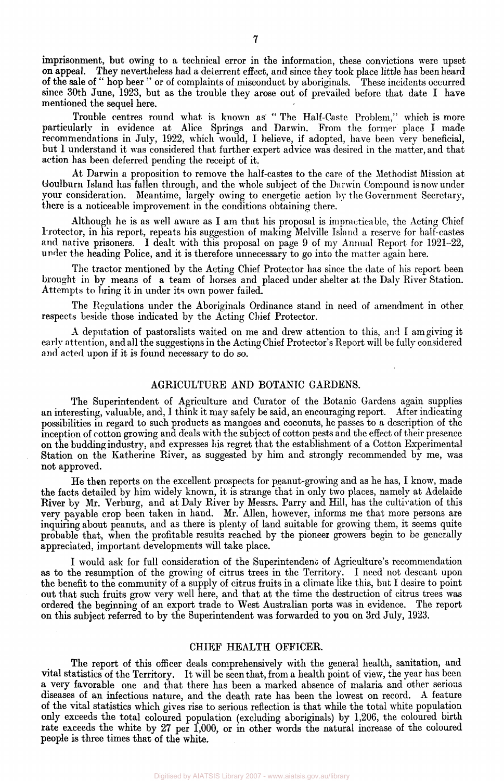imprisonment, but owing to a technical error in the information, these convictions were upset on appeal. They nevertheless had a deterrent effect, and since they took place little has been heard of the sale of " hop beer " or of complaints of misconduct by aboriginals. These incidents occurred since 30th June, 1923, but as the trouble they arose out of prevailed before that date I have mentioned the sequel here.

Trouble centres round what is known as " The Half-Caste Problem," which is more particularly in evidence at Alice Springs and Darwin. From the former place I made recommendations in July, 1922, which would, I believe, if adopted, have been very beneficial, but I understand it was considered that further expert advice was desired in the matter, and that action has been deferred pending the receipt of it.

At Darwin a proposition to remove the half-castes to the care of the Methodist Mission at Goulburn Island has fallen through, and the whole subject of the Darwin Compound is now under your consideration. Meantime, largely owing to energetic action by the Government Secretary, there is a noticeable improvement in the conditions obtaining there.

Although he is as well aware as I am that his proposal is impracticable, the Acting Chief Protector, in his report, repeats his suggestion of making Melville Island a reserve for half-castes and native prisoners. I dealt with this proposal on page 9 of my Annual Report for 1921-22, under the heading Police, and it is therefore unnecessary to go into the matter again here.

The tractor mentioned by the Acting Chief Protector has since the date of his report been brought in by means of a team of horses and placed under shelter at the Daly River Station. Attempts to bring it in under its own power failed.

The Regulations under the Aboriginals Ordinance stand in need of amendment in other respects beside those indicated by the Acting Chief Protector.

A deputation of pastoralists waited on me and drew attention to this, and I am giving it early attention, and all the suggestions in the Acting Chief Protector's Report will be fully considered and acted upon if it is found necessary to do so.

#### AGRICULTURE AND BOTANIC GARDENS.

The Superintendent of Agriculture and Curator of the Botanic Gardens again supplies an interesting, valuable, and, I think it may safely be said, an encouraging report. After indicating possibilities in regard to such products as mangoes and coconuts, he passes to a description of the inception of cotton growing and deals with the subject of cotton pests and the effect of their presence on the budding industry, and expresses his regret that the establishment of a Cotton Experimental Station on the Katherine River, as suggested by him and strongly recommended by me, was not approved.

He then reports on the excellent prospects for peanut-growing and as he has, I know, made the facts detailed by him widely known, it is strange that in only two places, namely at Adelaide River by Mr. Verburg, and at Daly River by Messrs. Parry and Hill, has the cultivation of this very payable crop been taken in hand. Mr. Allen, however, informs me that more persons are inquiring about peanuts, and as there is plenty of land suitable for growing them, it seems quite probable that, when the profitable results reached by the pioneer growers begin to be generally appreciated, important developments will take place.

I would ask for full consideration of the Superintendent of Agriculture's recommendation as to the resumption of the growing of citrus trees in the Territory. I need not descant upon the benefit to the community of a supply of citrus fruits in a climate like this, but I desire to point out that such fruits grow very well here, and that at the time the destruction of citrus trees was ordered the beginning of an export trade to West Australian ports was in evidence. The report on this subject referred to by the Superintendent was forwarded to you on 3rd July, 1923.

#### CHIEF HEALTH OFFICER.

The report of this officer deals comprehensively with the general health, sanitation, and vital statistics of the Territory. It will be seen that, from a health point of view, the year has been a very favorable one and that there has been a marked absence of malaria and other serious diseases of an infectious nature, and the death rate has been the lowest on record. A feature of the vital statistics which gives rise to serious reflection is that while the total white population only exceeds the total coloured population (excluding aboriginals) by 1,206, the coloured birth rate exceeds the white by 27 per  $1,000$ , or in other words the natural increase of the coloured people is three times that of the white.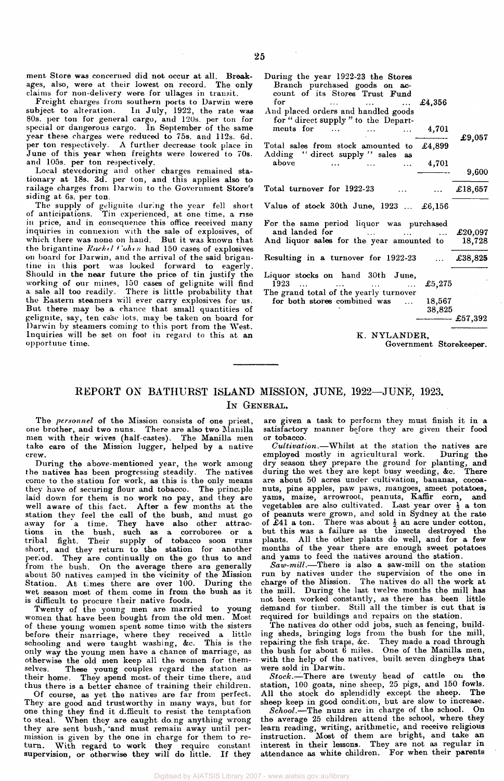ment Store was concerned did not occur at all. Breakages, also, were at their lowest on record. The only claims for non-delivery were for ullages in transit.

Freight charges from southern ports to Darwin were subject to alteration. In July, 1922, the rate was 80s. per ton for general cargo, and 120s. per ton for special or dangerous cargo. In September of the same year these charges were reduced to 75s. and 112s. 6d. per ton respectively. A further decrease took place in June of this year when freights were lowered to 70s. and 105s. per ton respectively.

Local stevedoring and other charges remained stationary at 18s. 3d. per ton, and this applies also to railage charges from Darwin to the Government Store's siding at 63. per ton.

The supply of gelignite during the year fell short of anticipations. Tin experienced, at one time, a rise in price, and in consequence this office received many inquiries in connexion with the sale of explosives, of which there was none on hand. But it was known that the brigantine Rachel *Cohen* had 150 cases of explosives on board for Darwin, and the arrival of the said brigantine in this port was looked forward to eagerly. Should in the near future the price of tin justify the working of our mines, 150 cases of gelignite will find a sale all too readily. There is little probability that the Eastern steamers will ever carry explosives for us. But there may be a chance that small quantities of gelignite, say, ten case lots, may be taken on board for Darwin by steamers coming to this port from the West. Inquiries will be set on foot in regard to this at an opportune time.

| During the year 1922-23 the Stores                                                    |                                  |
|---------------------------------------------------------------------------------------|----------------------------------|
| Branch purchased goods on ac-<br>count of its Stores Trust Fund<br>for                | £4,356                           |
| $\cdots$<br>And placed orders and handled goods<br>for "direct supply" to the Depart- |                                  |
| ments for                                                                             | 4,701<br>£9,057                  |
| Total sales from stock amounted to<br>Adding "direct supply" sales as                 | £4,899                           |
| above<br>$\cdots$                                                                     | 4,701<br>9,600                   |
| Total turnover for 1922-23<br>$\ddotsc$                                               | £18,657<br>$\dddot{\phantom{0}}$ |
| Value of stock 30th June, $1923$ £6,156                                               |                                  |
| For the same period liquor was purchased<br>and landed for                            |                                  |
| And liquor sales for the year amounted to                                             | £20,097<br>$\cdots$<br>18,728    |
| Resulting in a turnover for 1922-23                                                   | $\dots$ £38,825                  |
| Liquor stocks on hand 30th June,<br>1923<br>$\cdots$                                  | £5,275                           |
| The grand total of the yearly turnover<br>for both stores combined was                | 18,567                           |
|                                                                                       | 38,825<br>£57,392                |
|                                                                                       |                                  |

K. NYLANDER, Government Storekeeper.

### REPORT ON BATHURST ISLAND MISSION, JUNE, 1922—JUNE, 1923.

IN GENERAL.

The *personnel* of the Mission consists of one priest, one brother, and two nuns. There are also two Manilla men with their wives (half-castes). The Manilla men take care of the Mission lugger, helped by a native crew.

During the above-mentioned year, the. work among the natives has been progressing steadily. The natives come to the station for work, as this is the only means they have of securing flour and tobacco. The principle laid down for them is no work no pay, and they are well aware of this fact. After a few months at the station they feel the call of the bush, and must go away for a time. They have also other attractions in the bush, such as a corroboree or a tribal fight. Their supply of tobacco soon runs short, and they return to the station for another period. They are continually on the go thus to and from the bush. On the average there are generally about 50 natives camped in the vicinity of the Mission Station. At times there are over 100. During the wet season most of them come in from the bush as it is difficult to procure their native foods.

Twenty of the young men are married to young women that have been bought from the old men. Most of these young women spent some time with the sisters before their marriage, where they received a little schooling and were taught washing, &c. This is the only way the young men have a chance of marriage, as otherwise the old men keep all the women for themselves. These young couples regard the station as their home. They spend most of their time there, and thus there is a better chance of training their children.

Of course, as yet the natives are far from perfect. They are good and trustworthy in many ways, but for one thing they find it difficult to resist the temptation to steal. When they are caught doing anything wrong they are sent bush, 'and must remain away until permission is given by the one in charge for them to return. With regard to work they require constant supervision, or otherwise they will do little. If they

are given a task to perform they must finish it in a satisfactory manner before they are given their food or tobacco.

*Cultivation.*—Whilst at the station the natives are employed mostly in agricultural work. dry season they prepare the ground for planting, and during the wet they are kept busy weeding, &c. There are about 50 acres under cultivation, bananas, cocoanuts, pine apples, paw paws, mangoes, smeet potatoes, yams, maize, arrowroot, peanuts, Kaffir corn, and vegetables are also cultivated. Last year over  $\frac{1}{2}$  a ton of peanuts were grown, and sold in Sydney at the rate of  $£41$  a ton. There was about  $\frac{1}{2}$  an acre under cotton, but this was a failure as the insects destroyed the plants. All the other plants do well, and for a few months of the year there are enough sweet potatoes and yams to feed the natives around the station.

*Saw-mill.*—There is also a saw-mill on the station run by natives under the supervision of the one in charge of the Mission. The natives do all the work at the mill. During the last twelve months the mill has not been worked constantly, as there has. been little demand for timber. Still all the timber is cut that is required for buildings and repairs on the station.

The natives do other odd jobs, such as fencing, building sheds, bringing logs from the bush for the mill, repairing the fish traps, &c. They made a road through the bush for about 6 miles. One of the Manilla men, with the help of the natives, built seven dingheys that were sold in Darwin.

*Stock.—*There are twenty head of cattle on the station, 100 goats, nine sheep, 25 pigs, and 150 fowls. All the stock do splendidly except the sheep. The sheep keep in good condition, but are slow to increase.

*School.*—The nuns are in charge of the school. On the average 25 children attend the school, where they learn reading, writing, arithmetic, and receive religious instruction. Most of them are bright, and take an interest in their lessons. They are not as regular in attendance as white children. For when their parents